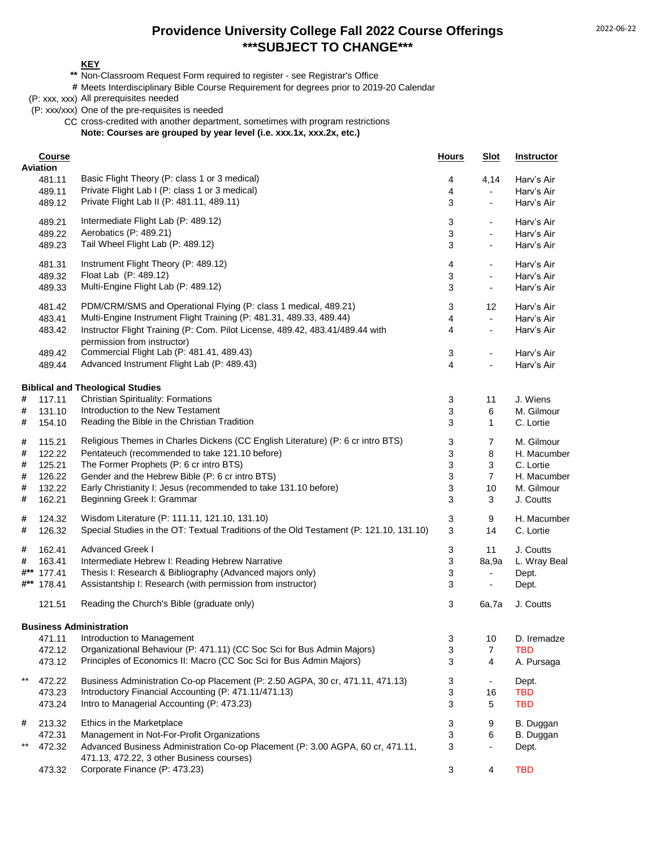### **Providence University College Fall 2022 Course Offerings \*\*\*SUBJECT TO CHANGE\*\*\***

### **KEY**

- **\*\*** Non-Classroom Request Form required to register see Registrar's Office
- **#** Meets Interdisciplinary Bible Course Requirement for degrees prior to 2019-20 Calendar
- (P: xxx, xxx) All prerequisites needed
- (P: xxx/xxx) One of the pre-requisites is needed
	- CC cross-credited with another department, sometimes with program restrictions
		- **Note: Courses are grouped by year level (i.e. xxx.1x, xxx.2x, etc.)**

|           | Course<br><b>Aviation</b> |                                                                                                                             | <b>Hours</b> | <b>Slot</b>              | <b>Instructor</b> |
|-----------|---------------------------|-----------------------------------------------------------------------------------------------------------------------------|--------------|--------------------------|-------------------|
|           | 481.11                    | Basic Flight Theory (P: class 1 or 3 medical)                                                                               | 4            | 4,14                     | Harv's Air        |
|           | 489.11                    | Private Flight Lab I (P: class 1 or 3 medical)                                                                              | 4            | $\overline{\phantom{a}}$ | Harv's Air        |
|           | 489.12                    | Private Flight Lab II (P: 481.11, 489.11)                                                                                   | 3            |                          | Harv's Air        |
|           | 489.21                    | Intermediate Flight Lab (P: 489.12)                                                                                         | 3            | $\overline{\phantom{a}}$ | Harv's Air        |
|           | 489.22                    | Aerobatics (P: 489.21)                                                                                                      | 3            |                          | Harv's Air        |
|           | 489.23                    | Tail Wheel Flight Lab (P: 489.12)                                                                                           | 3            |                          | Harv's Air        |
|           | 481.31                    | Instrument Flight Theory (P: 489.12)                                                                                        | 4            |                          | Harv's Air        |
|           | 489.32                    | Float Lab (P: 489.12)                                                                                                       | 3            | $\overline{\phantom{a}}$ | Harv's Air        |
|           | 489.33                    | Multi-Engine Flight Lab (P: 489.12)                                                                                         | 3            | $\overline{\phantom{a}}$ | Harv's Air        |
|           | 481.42                    | PDM/CRM/SMS and Operational Flying (P: class 1 medical, 489.21)                                                             | 3            | 12                       | Harv's Air        |
|           | 483.41                    | Multi-Engine Instrument Flight Training (P: 481.31, 489.33, 489.44)                                                         | 4            | $\overline{\phantom{a}}$ | Harv's Air        |
|           | 483.42                    | Instructor Flight Training (P: Com. Pilot License, 489.42, 483.41/489.44 with                                               | 4            |                          | Harv's Air        |
|           |                           | permission from instructor)                                                                                                 |              |                          |                   |
|           | 489.42                    | Commercial Flight Lab (P: 481.41, 489.43)<br>Advanced Instrument Flight Lab (P: 489.43)                                     | 3            | $\overline{\phantom{a}}$ | Harv's Air        |
|           | 489.44                    |                                                                                                                             | 4            | $\overline{\phantom{a}}$ | Harv's Air        |
|           |                           | <b>Biblical and Theological Studies</b>                                                                                     |              |                          |                   |
| #         | 117.11                    | Christian Spirituality: Formations                                                                                          | 3            | 11                       | J. Wiens          |
| #         | 131.10                    | Introduction to the New Testament                                                                                           | 3            | 6                        | M. Gilmour        |
| #         | 154.10                    | Reading the Bible in the Christian Tradition                                                                                | 3            | 1                        | C. Lortie         |
| #         | 115.21                    | Religious Themes in Charles Dickens (CC English Literature) (P: 6 cr intro BTS)                                             | 3            | 7                        | M. Gilmour        |
| #         | 122.22                    | Pentateuch (recommended to take 121.10 before)                                                                              | 3            | 8                        | H. Macumber       |
| #         | 125.21                    | The Former Prophets (P: 6 cr intro BTS)                                                                                     | 3            | 3                        | C. Lortie         |
| #         | 126.22                    | Gender and the Hebrew Bible (P: 6 cr intro BTS)                                                                             | 3            | $\overline{7}$           | H. Macumber       |
| #         | 132.22                    | Early Christianity I: Jesus (recommended to take 131.10 before)                                                             | 3            | 10                       | M. Gilmour        |
| #         | 162.21                    | Beginning Greek I: Grammar                                                                                                  | 3            | 3                        | J. Coutts         |
| #         | 124.32                    | Wisdom Literature (P: 111.11, 121.10, 131.10)                                                                               | 3            | 9                        | H. Macumber       |
| #         | 126.32                    | Special Studies in the OT: Textual Traditions of the Old Testament (P: 121.10, 131.10)                                      | 3            | 14                       | C. Lortie         |
| #         | 162.41                    | <b>Advanced Greek I</b>                                                                                                     | 3            | 11                       | J. Coutts         |
| #         | 163.41                    | Intermediate Hebrew I: Reading Hebrew Narrative                                                                             | 3            | 8a,9a                    | L. Wray Beal      |
| $\#^{**}$ | 177.41                    | Thesis I: Research & Bibliography (Advanced majors only)                                                                    | 3            | $\overline{\phantom{a}}$ | Dept.             |
|           | #** 178.41                | Assistantship I: Research (with permission from instructor)                                                                 | 3            | $\overline{a}$           | Dept.             |
|           | 121.51                    | Reading the Church's Bible (graduate only)                                                                                  | 3            | 6a,7a                    | J. Coutts         |
|           |                           | <b>Business Administration</b>                                                                                              |              |                          |                   |
|           | 471.11                    | Introduction to Management                                                                                                  | 3            | 10                       | D. Iremadze       |
|           | 472.12                    | Organizational Behaviour (P: 471.11) (CC Soc Sci for Bus Admin Majors)                                                      | 3            | 7                        | <b>TBD</b>        |
|           | 473.12                    | Principles of Economics II: Macro (CC Soc Sci for Bus Admin Majors)                                                         | 3            | 4                        | A. Pursaga        |
| $***$     | 472.22                    | Business Administration Co-op Placement (P: 2.50 AGPA, 30 cr, 471.11, 471.13)                                               | 3            |                          | Dept.             |
|           | 473.23                    | Introductory Financial Accounting (P: 471.11/471.13)                                                                        | 3            | 16                       | <b>TBD</b>        |
|           | 473.24                    | Intro to Managerial Accounting (P: 473.23)                                                                                  | 3            | 5                        | <b>TBD</b>        |
| #         | 213.32                    | Ethics in the Marketplace                                                                                                   | 3            | 9                        | B. Duggan         |
|           | 472.31                    | Management in Not-For-Profit Organizations                                                                                  | 3            | 6                        | B. Duggan         |
| $***$     | 472.32                    | Advanced Business Administration Co-op Placement (P: 3.00 AGPA, 60 cr, 471.11,<br>471.13, 472.22, 3 other Business courses) | 3            |                          | Dept.             |
|           | 473.32                    | Corporate Finance (P: 473.23)                                                                                               | 3            | 4                        | <b>TBD</b>        |
|           |                           |                                                                                                                             |              |                          |                   |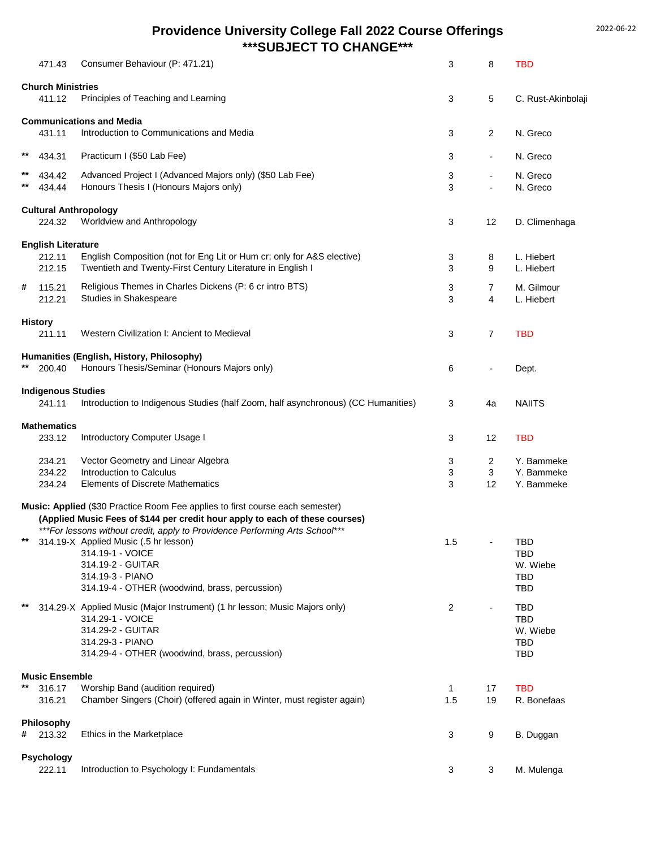|       | 471.43                       | Consumer Behaviour (P: 471.21)                                                                                                                                | 3        | 8                        | <b>TBD</b>                |  |  |
|-------|------------------------------|---------------------------------------------------------------------------------------------------------------------------------------------------------------|----------|--------------------------|---------------------------|--|--|
|       | <b>Church Ministries</b>     |                                                                                                                                                               |          |                          |                           |  |  |
|       | 411.12                       | Principles of Teaching and Learning                                                                                                                           | 3        | 5                        | C. Rust-Akinbolaji        |  |  |
|       |                              | <b>Communications and Media</b>                                                                                                                               |          |                          |                           |  |  |
|       | 431.11                       | Introduction to Communications and Media                                                                                                                      | 3        | 2                        | N. Greco                  |  |  |
| $***$ | 434.31                       | Practicum I (\$50 Lab Fee)                                                                                                                                    | 3        | $\overline{\phantom{a}}$ | N. Greco                  |  |  |
|       | 434.42                       | Advanced Project I (Advanced Majors only) (\$50 Lab Fee)                                                                                                      | 3        |                          | N. Greco                  |  |  |
|       | 434.44                       | Honours Thesis I (Honours Majors only)                                                                                                                        | 3        | $\overline{\phantom{a}}$ | N. Greco                  |  |  |
|       | <b>Cultural Anthropology</b> |                                                                                                                                                               |          |                          |                           |  |  |
|       | 224.32                       | Worldview and Anthropology                                                                                                                                    | 3        | 12                       | D. Climenhaga             |  |  |
|       | <b>English Literature</b>    |                                                                                                                                                               |          |                          |                           |  |  |
|       | 212.11<br>212.15             | English Composition (not for Eng Lit or Hum cr; only for A&S elective)<br>Twentieth and Twenty-First Century Literature in English I                          | 3<br>3   | 8<br>9                   | L. Hiebert<br>L. Hiebert  |  |  |
| #     | 115.21                       | Religious Themes in Charles Dickens (P: 6 cr intro BTS)                                                                                                       | 3        | 7                        | M. Gilmour                |  |  |
|       | 212.21                       | Studies in Shakespeare                                                                                                                                        | 3        | 4                        | L. Hiebert                |  |  |
|       | <b>History</b>               |                                                                                                                                                               |          |                          |                           |  |  |
|       | 211.11                       | Western Civilization I: Ancient to Medieval                                                                                                                   | 3        | $\overline{7}$           | <b>TBD</b>                |  |  |
|       |                              | Humanities (English, History, Philosophy)                                                                                                                     |          |                          |                           |  |  |
| **    | 200.40                       | Honours Thesis/Seminar (Honours Majors only)                                                                                                                  | 6        |                          | Dept.                     |  |  |
|       | <b>Indigenous Studies</b>    |                                                                                                                                                               |          |                          |                           |  |  |
|       | 241.11                       | Introduction to Indigenous Studies (half Zoom, half asynchronous) (CC Humanities)                                                                             | 3        | 4a                       | <b>NAIITS</b>             |  |  |
|       | <b>Mathematics</b>           |                                                                                                                                                               |          |                          |                           |  |  |
|       | 233.12                       | Introductory Computer Usage I                                                                                                                                 | 3        | 12                       | <b>TBD</b>                |  |  |
|       | 234.21                       | Vector Geometry and Linear Algebra                                                                                                                            | 3        | 2                        | Y. Bammeke                |  |  |
|       | 234.22                       | Introduction to Calculus                                                                                                                                      | 3<br>3   | 3                        | Y. Bammeke                |  |  |
|       | 234.24                       | <b>Elements of Discrete Mathematics</b>                                                                                                                       |          | 12                       | Y. Bammeke                |  |  |
|       |                              | Music: Applied (\$30 Practice Room Fee applies to first course each semester)<br>(Applied Music Fees of \$144 per credit hour apply to each of these courses) |          |                          |                           |  |  |
|       |                              | *** For lessons without credit, apply to Providence Performing Arts School***                                                                                 |          |                          |                           |  |  |
|       |                              | 314.19-X Applied Music (.5 hr lesson)                                                                                                                         | 1.5      |                          | TBD                       |  |  |
|       |                              | 314.19-1 - VOICE<br>314.19-2 - GUITAR                                                                                                                         |          |                          | <b>TBD</b><br>W. Wiebe    |  |  |
|       |                              | 314.19-3 - PIANO                                                                                                                                              |          |                          | <b>TBD</b>                |  |  |
|       |                              | 314.19-4 - OTHER (woodwind, brass, percussion)                                                                                                                |          |                          | <b>TBD</b>                |  |  |
|       |                              | 314.29-X Applied Music (Major Instrument) (1 hr lesson; Music Majors only)<br>314.29-1 - VOICE                                                                | 2        |                          | <b>TBD</b>                |  |  |
|       |                              | 314.29-2 - GUITAR                                                                                                                                             |          |                          | <b>TBD</b><br>W. Wiebe    |  |  |
|       |                              | 314.29-3 - PIANO                                                                                                                                              |          |                          | <b>TBD</b>                |  |  |
|       |                              | 314.29-4 - OTHER (woodwind, brass, percussion)                                                                                                                |          |                          | <b>TBD</b>                |  |  |
|       | <b>Music Ensemble</b>        |                                                                                                                                                               |          |                          |                           |  |  |
| **    | 316.17<br>316.21             | Worship Band (audition required)<br>Chamber Singers (Choir) (offered again in Winter, must register again)                                                    | 1<br>1.5 | 17<br>19                 | <b>TBD</b><br>R. Bonefaas |  |  |
|       |                              |                                                                                                                                                               |          |                          |                           |  |  |
| #     | Philosophy<br>213.32         | Ethics in the Marketplace                                                                                                                                     | 3        | 9                        | B. Duggan                 |  |  |
|       |                              |                                                                                                                                                               |          |                          |                           |  |  |
|       | Psychology<br>222.11         | Introduction to Psychology I: Fundamentals                                                                                                                    | 3        | 3                        | M. Mulenga                |  |  |
|       |                              |                                                                                                                                                               |          |                          |                           |  |  |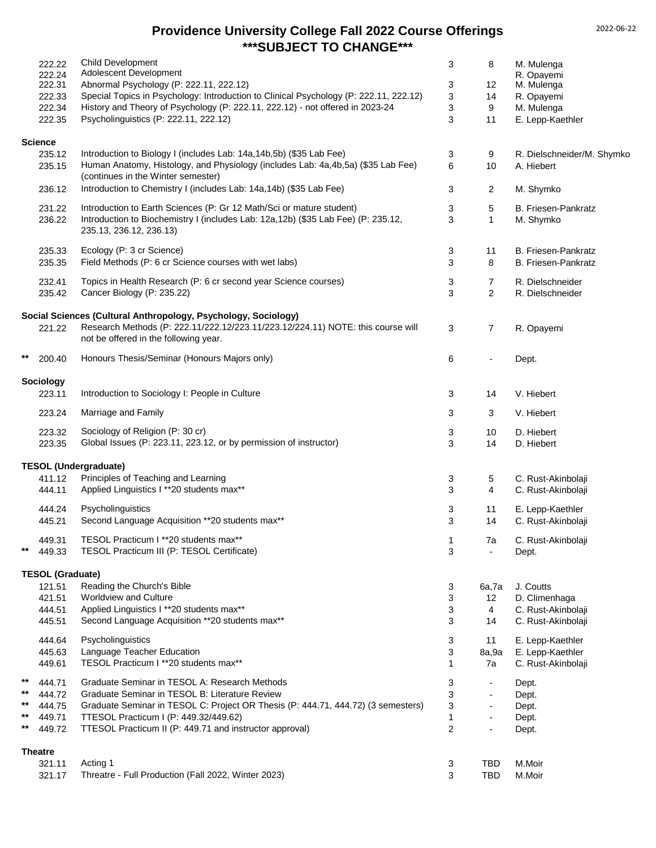# **Providence University College Fall 2022 Course Offerings \*\*\*SUBJECT TO CHANGE\*\*\***

|    | 222.22<br>222.24        | Child Development<br>Adolescent Development                                                                              | 3              | 8                        | M. Mulenga<br>R. Opavemi   |
|----|-------------------------|--------------------------------------------------------------------------------------------------------------------------|----------------|--------------------------|----------------------------|
|    | 222.31                  | Abnormal Psychology (P: 222.11, 222.12)                                                                                  | 3              | 12                       | M. Mulenga                 |
|    | 222.33                  | Special Topics in Psychology: Introduction to Clinical Psychology (P: 222.11, 222.12)                                    | 3              | 14                       | R. Opayemi                 |
|    | 222.34                  | History and Theory of Psychology (P: 222.11, 222.12) - not offered in 2023-24                                            | 3              | 9                        | M. Mulenga                 |
|    | 222.35                  | Psycholinguistics (P: 222.11, 222.12)                                                                                    | 3              | 11                       | E. Lepp-Kaethler           |
|    | Science                 |                                                                                                                          |                |                          |                            |
|    | 235.12                  | Introduction to Biology I (includes Lab: 14a, 14b, 5b) (\$35 Lab Fee)                                                    | 3              | 9                        | R. Dielschneider/M. Shymko |
|    | 235.15                  | Human Anatomy, Histology, and Physiology (includes Lab: 4a,4b,5a) (\$35 Lab Fee)<br>(continues in the Winter semester)   | 6              | 10                       | A. Hiebert                 |
|    | 236.12                  | Introduction to Chemistry I (includes Lab: 14a, 14b) (\$35 Lab Fee)                                                      | 3              | $\overline{2}$           | M. Shymko                  |
|    | 231.22                  | Introduction to Earth Sciences (P: Gr 12 Math/Sci or mature student)                                                     | 3              | 5                        | B. Friesen-Pankratz        |
|    | 236.22                  | Introduction to Biochemistry I (includes Lab: 12a, 12b) (\$35 Lab Fee) (P: 235.12,<br>235.13, 236.12, 236.13)            | 3              | 1                        | M. Shymko                  |
|    | 235.33                  | Ecology (P: 3 cr Science)                                                                                                | 3              | 11                       | B. Friesen-Pankratz        |
|    | 235.35                  | Field Methods (P: 6 cr Science courses with wet labs)                                                                    | 3              | 8                        | <b>B. Friesen-Pankratz</b> |
|    | 232.41                  | Topics in Health Research (P: 6 cr second year Science courses)                                                          | 3              | 7                        | R. Dielschneider           |
|    | 235.42                  | Cancer Biology (P: 235.22)                                                                                               | 3              | $\overline{2}$           | R. Dielschneider           |
|    |                         | Social Sciences (Cultural Anthropology, Psychology, Sociology)                                                           |                |                          |                            |
|    | 221.22                  | Research Methods (P: 222.11/222.12/223.11/223.12/224.11) NOTE: this course will<br>not be offered in the following year. | 3              | 7                        | R. Opayemi                 |
| ** | 200.40                  | Honours Thesis/Seminar (Honours Majors only)                                                                             | 6              | $\overline{\phantom{a}}$ | Dept.                      |
|    | Sociology<br>223.11     | Introduction to Sociology I: People in Culture                                                                           | 3              | 14                       | V. Hiebert                 |
|    |                         |                                                                                                                          |                |                          |                            |
|    | 223.24                  | Marriage and Family                                                                                                      | 3              | 3                        | V. Hiebert                 |
|    | 223.32<br>223.35        | Sociology of Religion (P: 30 cr)<br>Global Issues (P: 223.11, 223.12, or by permission of instructor)                    | 3<br>3         | 10<br>14                 | D. Hiebert<br>D. Hiebert   |
|    |                         | <b>TESOL (Undergraduate)</b>                                                                                             |                |                          |                            |
|    | 411.12                  | Principles of Teaching and Learning                                                                                      | 3              | 5                        | C. Rust-Akinbolaji         |
|    | 444.11                  | Applied Linguistics I ** 20 students max**                                                                               | 3              | 4                        | C. Rust-Akinbolaji         |
|    | 444.24                  | Psycholinguistics                                                                                                        | 3              | 11                       | E. Lepp-Kaethler           |
|    | 445.21                  | Second Language Acquisition **20 students max**                                                                          | 3              | 14                       | C. Rust-Akinbolaji         |
|    | 449.31                  | TESOL Practicum I ** 20 students max**                                                                                   | 1              | 7a                       | C. Rust-Akinbolaji         |
| ** | 449.33                  | TESOL Practicum III (P: TESOL Certificate)                                                                               | 3              | $\blacksquare$           | Dept.                      |
|    | <b>TESOL (Graduate)</b> |                                                                                                                          |                |                          |                            |
|    | 121.51                  | Reading the Church's Bible                                                                                               | 3              | 6a,7a                    | J. Coutts                  |
|    | 421.51                  | Worldview and Culture                                                                                                    | 3              | 12                       | D. Climenhaga              |
|    | 444.51                  | Applied Linguistics I ** 20 students max**                                                                               | 3              | 4                        | C. Rust-Akinbolaji         |
|    | 445.51                  | Second Language Acquisition ** 20 students max**                                                                         | 3              | 14                       | C. Rust-Akinbolaji         |
|    | 444.64                  | Psycholinguistics                                                                                                        | 3              | 11                       | E. Lepp-Kaethler           |
|    | 445.63                  | Language Teacher Education                                                                                               | 3              | 8a,9a                    | E. Lepp-Kaethler           |
|    | 449.61                  | TESOL Practicum I ** 20 students max**                                                                                   | $\mathbf 1$    | 7a                       | C. Rust-Akinbolaji         |
| ** | 444.71                  | Graduate Seminar in TESOL A: Research Methods                                                                            | 3              | $\overline{\phantom{a}}$ | Dept.                      |
| ** | 444.72                  | Graduate Seminar in TESOL B: Literature Review                                                                           | 3              | $\overline{\phantom{a}}$ | Dept.                      |
| ** | 444.75                  | Graduate Seminar in TESOL C: Project OR Thesis (P: 444.71, 444.72) (3 semesters)                                         | 3              | $\overline{\phantom{a}}$ | Dept.                      |
| ** | 449.71                  | TTESOL Practicum I (P: 449.32/449.62)                                                                                    | $\mathbf{1}$   | $\overline{\phantom{a}}$ | Dept.                      |
| ** | 449.72                  | TTESOL Practicum II (P: 449.71 and instructor approval)                                                                  | $\overline{c}$ | $\overline{\phantom{a}}$ | Dept.                      |
|    | Theatre                 |                                                                                                                          |                |                          |                            |
|    | 321.11                  | Acting 1                                                                                                                 | 3              | <b>TBD</b>               | M.Moir                     |
|    | 321.17                  | Threatre - Full Production (Fall 2022, Winter 2023)                                                                      | 3              | <b>TBD</b>               | M.Moir                     |